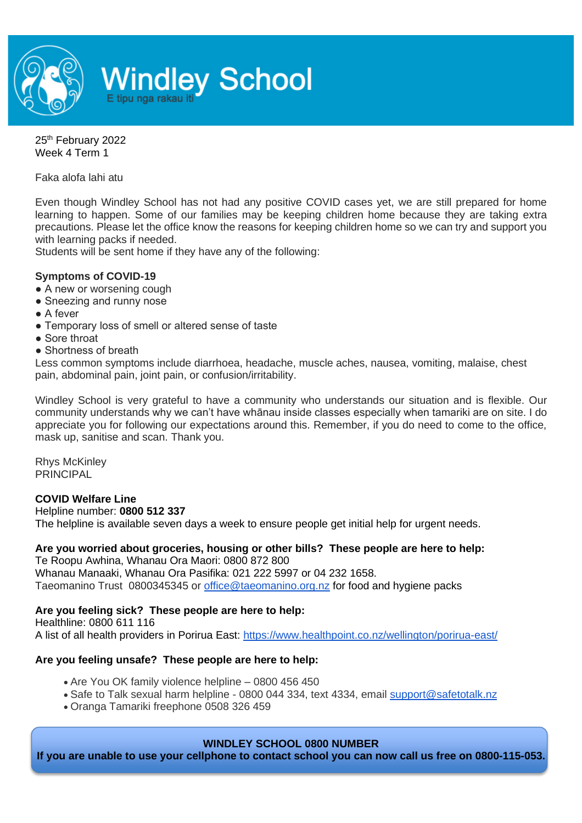

25<sup>th</sup> February 2022 Week 4 Term 1

Faka alofa lahi atu

Even though Windley School has not had any positive COVID cases yet, we are still prepared for home learning to happen. Some of our families may be keeping children home because they are taking extra precautions. Please let the office know the reasons for keeping children home so we can try and support you with learning packs if needed.

Students will be sent home if they have any of the following:

#### **Symptoms of COVID-19**

- A new or worsening cough
- Sneezing and runny nose
- A fever
- Temporary loss of smell or altered sense of taste
- Sore throat
- Shortness of breath

Less common symptoms include diarrhoea, headache, muscle aches, nausea, vomiting, malaise, chest pain, abdominal pain, joint pain, or confusion/irritability.

Windley School is very grateful to have a community who understands our situation and is flexible. Our community understands why we can't have whānau inside classes especially when tamariki are on site. I do appreciate you for following our expectations around this. Remember, if you do need to come to the office, mask up, sanitise and scan. Thank you.

Rhys McKinley PRINCIPAL

#### **COVID Welfare Line**

Helpline number: **0800 512 337**

The helpline is available seven days a week to ensure people get initial help for urgent needs.

# **Are you worried about groceries, housing or other bills? These people are here to help:**

Te Roopu Awhina, Whanau Ora Maori: 0800 872 800 Whanau Manaaki, Whanau Ora Pasifika: 021 222 5997 or 04 232 1658. Taeomanino Trust 0800345345 or [office@taeomanino.org.nz](mailto:office@taeomanino.org.nz) for food and hygiene packs

### **Are you feeling sick? These people are here to help:**

Healthline: 0800 611 116 A list of all health providers in Porirua East:<https://www.healthpoint.co.nz/wellington/porirua-east/>

# **Are you feeling unsafe? These people are here to help:**

- Are You OK family violence helpline 0800 456 450
- Safe to Talk sexual harm helpline 0800 044 334, text 4334, email [support@safetotalk.nz](mailto:support@safetotalk.nz)
- Oranga Tamariki freephone 0508 326 459

### **WINDLEY SCHOOL 0800 NUMBER**

**If you are unable to use your cellphone to contact school you can now call us free on 0800-115-053.**